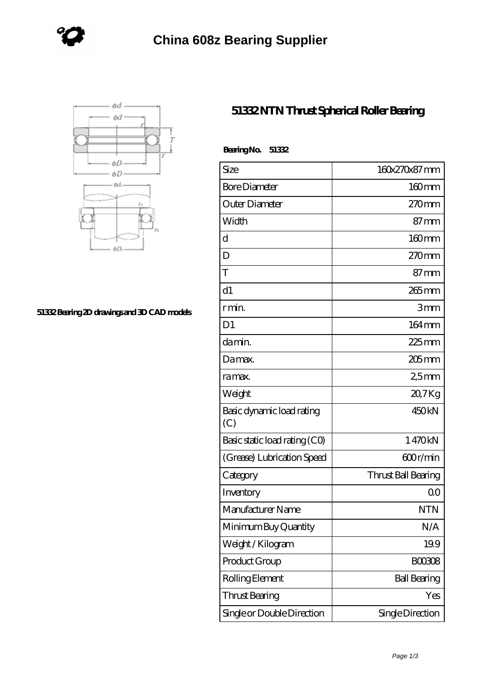



## **[51332 Bearing 2D drawings and 3D CAD models](https://www.holyland-wholesale.com/pic-1113993.html)**

## **[51332 NTN Thrust Spherical Roller Bearing](https://www.holyland-wholesale.com/tapered-roller-bearing/51332.html)**

| BearingNo.<br>51332              |                     |
|----------------------------------|---------------------|
| Size                             | 160x270x87mm        |
| <b>Bore Diameter</b>             | $160$ mm            |
| Outer Diameter                   | $270$ mm            |
| Width                            | $87 \text{mm}$      |
| d                                | $160$ mm            |
| D                                | $270$ mm            |
| T                                | $87 \text{mm}$      |
| d1                               | $265$ mm            |
| r min.                           | 3mm                 |
| D <sub>1</sub>                   | $164 \,\mathrm{mm}$ |
| da min.                          | $225$ mm            |
| Damax.                           | $205$ mm            |
| ra max.                          | 25mm                |
| Weight                           | 20,7Kg              |
| Basic dynamic load rating<br>(C) | 450kN               |
| Basic static load rating (CO)    | 1470kN              |
| (Grease) Lubrication Speed       | 600r/min            |
| Category                         | Thrust Ball Bearing |
| Inventory                        | 0 <sup>0</sup>      |
| Manufacturer Name                | <b>NTN</b>          |
| Minimum Buy Quantity             | N/A                 |
| Weight / Kilogram                | 19.9                |
| Product Group                    | <b>BOO3O8</b>       |
| Rolling Element                  | <b>Ball Bearing</b> |
| <b>Thrust Bearing</b>            | Yes                 |
| Single or Double Direction       | Single Direction    |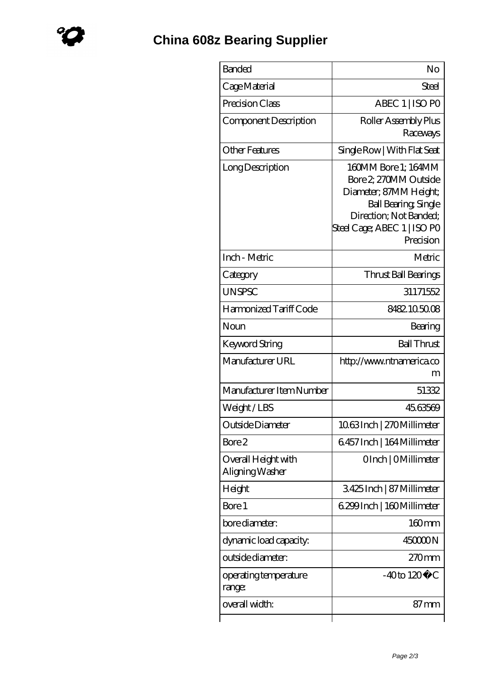| <b>Banded</b>                          | No                                                                                                                                                                          |
|----------------------------------------|-----------------------------------------------------------------------------------------------------------------------------------------------------------------------------|
| Cage Material                          | Steel                                                                                                                                                                       |
| Precision Class                        | ABEC 1   ISO PO                                                                                                                                                             |
| Component Description                  | Roller Assembly Plus<br>Raceways                                                                                                                                            |
| Other Features                         | Single Row   With Flat Seat                                                                                                                                                 |
| Long Description                       | 160MM Bore 1; 164MM<br>Bore 2, 270MM Outside<br>Diameter; 87MM Height;<br><b>Ball Bearing, Single</b><br>Direction; Not Banded;<br>Steel Cage; ABEC 1   ISO PO<br>Precision |
| Inch - Metric                          | Metric                                                                                                                                                                      |
| Category                               | Thrust Ball Bearings                                                                                                                                                        |
| <b>UNSPSC</b>                          | 31171552                                                                                                                                                                    |
| Harmonized Tariff Code                 | 8482105008                                                                                                                                                                  |
| Noun                                   | Bearing                                                                                                                                                                     |
| Keyword String                         | <b>Ball Thrust</b>                                                                                                                                                          |
| Manufacturer URL                       | http://www.ntnamerica.co<br>m                                                                                                                                               |
| Manufacturer Item Number               | 51332                                                                                                                                                                       |
| Weight/LBS                             | 45.63569                                                                                                                                                                    |
| Outside Diameter                       | 1063Inch   270Millimeter                                                                                                                                                    |
| Bore 2                                 | 6457 Inch   164 Millimeter                                                                                                                                                  |
| Overall Height with<br>Aligning Washer | OInch   OMillimeter                                                                                                                                                         |
| Height                                 | 3425Inch   87 Millimeter                                                                                                                                                    |
| Bore 1                                 | 6.299 Inch   160 Millimeter                                                                                                                                                 |
| bore diameter:                         | 160mm                                                                                                                                                                       |
| dynamic load capacity:                 | 45000N                                                                                                                                                                      |
| outside diameter:                      | $270$ mm                                                                                                                                                                    |
| operating temperature<br>range:        | $-40$ to $120^{\circ}$ C                                                                                                                                                    |
| overall width:                         | 87 mm                                                                                                                                                                       |
|                                        |                                                                                                                                                                             |